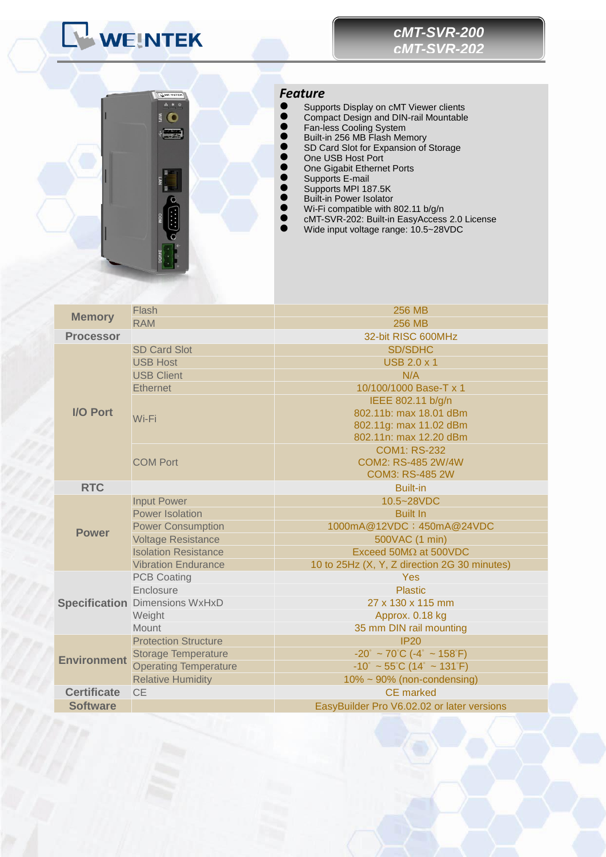# WEINTEK



## *Feature*

- **Supports Display on cMT Viewer clients**
- **Compact Design and DIN-rail Mountable**
- **•** Fan-less Cooling System
- Built-in 256 MB Flash Memory
- **SD Card Slot for Expansion of Storage**
- One USB Host Port
- **One Gigabit Ethernet Ports** ● Supports E-mail
- Supports MPI 187.5K
- **Built-in Power Isolator**
- Wi-Fi compatible with 802.11 b/g/n
- cMT-SVR-202: Built-in EasyAccess 2.0 License
- UNT-SUR-202: Built-in EasyAccess 2.0<br>● UNT-SVR-202: Built-in EasyAccess 2.0<br>● Wide input voltage range: 10.5~28VDC

| <b>Memory</b>      | Flash                                 | <b>256 MB</b>                                    |  |  |
|--------------------|---------------------------------------|--------------------------------------------------|--|--|
|                    | <b>RAM</b>                            | <b>256 MB</b>                                    |  |  |
| <b>Processor</b>   |                                       | 32-bit RISC 600MHz                               |  |  |
| <b>I/O Port</b>    | <b>SD Card Slot</b>                   | <b>SD/SDHC</b>                                   |  |  |
|                    | <b>USB Host</b>                       | <b>USB 2.0 x 1</b>                               |  |  |
|                    | <b>USB Client</b>                     | N/A                                              |  |  |
|                    | <b>Ethernet</b>                       | 10/100/1000 Base-T x 1                           |  |  |
|                    | Wi-Fi                                 | IEEE 802.11 b/g/n                                |  |  |
|                    |                                       | 802.11b: max 18.01 dBm                           |  |  |
|                    |                                       | 802.11g: max 11.02 dBm                           |  |  |
|                    |                                       | 802.11n: max 12.20 dBm                           |  |  |
|                    | <b>COM Port</b>                       | <b>COM1: RS-232</b>                              |  |  |
|                    |                                       | COM2: RS-485 2W/4W                               |  |  |
|                    |                                       | <b>COM3: RS-485 2W</b>                           |  |  |
| <b>RTC</b>         |                                       | <b>Built-in</b>                                  |  |  |
| <b>Power</b>       | <b>Input Power</b>                    | 10.5~28VDC                                       |  |  |
|                    | <b>Power Isolation</b>                | <b>Built In</b>                                  |  |  |
|                    | <b>Power Consumption</b>              | 1000mA@12VDC; 450mA@24VDC                        |  |  |
|                    | <b>Voltage Resistance</b>             | 500VAC (1 min)                                   |  |  |
|                    | <b>Isolation Resistance</b>           | Exceed 50M $\Omega$ at 500VDC                    |  |  |
|                    | <b>Vibration Endurance</b>            | 10 to 25Hz (X, Y, Z direction 2G 30 minutes)     |  |  |
|                    | <b>PCB Coating</b>                    | Yes                                              |  |  |
|                    | Enclosure                             | <b>Plastic</b>                                   |  |  |
|                    | <b>Specification Dimensions WxHxD</b> | 27 x 130 x 115 mm                                |  |  |
|                    | Weight                                | Approx. 0.18 kg                                  |  |  |
|                    | Mount                                 | 35 mm DIN rail mounting                          |  |  |
| <b>Environment</b> | <b>Protection Structure</b>           | IP20                                             |  |  |
|                    | <b>Storage Temperature</b>            | $-20^\circ \sim 70^\circ \text{C}$ (-4° ~ 158°F) |  |  |
|                    | <b>Operating Temperature</b>          | $-10^\circ$ ~ 55°C (14° ~ 131°F)                 |  |  |
|                    | <b>Relative Humidity</b>              | $10\% \sim 90\%$ (non-condensing)                |  |  |
| <b>Certificate</b> | <b>CE</b>                             | CE marked                                        |  |  |
| <b>Software</b>    |                                       | EasyBuilder Pro V6.02.02 or later versions       |  |  |
|                    |                                       |                                                  |  |  |